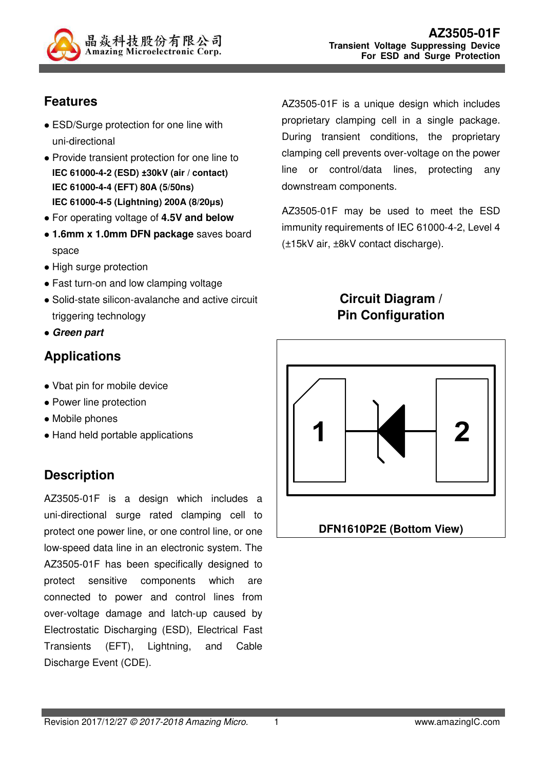

## **Features**

- ESD/Surge protection for one line with uni-directional
- Provide transient protection for one line to **IEC 61000-4-2 (ESD) ±30kV (air / contact) IEC 61000-4-4 (EFT) 80A (5/50ns) IEC 61000-4-5 (Lightning) 200A (8/20µs)**
- For operating voltage of **4.5V and below**
- **1.6mm x 1.0mm DFN package** saves board space
- High surge protection
- Fast turn-on and low clamping voltage
- Solid-state silicon-avalanche and active circuit triggering technology
- **Green part**

# **Applications**

- Vbat pin for mobile device
- Power line protection
- Mobile phones
- Hand held portable applications

# **Description**

AZ3505-01F is a design which includes a uni-directional surge rated clamping cell to protect one power line, or one control line, or one low-speed data line in an electronic system. The AZ3505-01F has been specifically designed to protect sensitive components which are connected to power and control lines from over-voltage damage and latch-up caused by Electrostatic Discharging (ESD), Electrical Fast Transients (EFT), Lightning, and Cable Discharge Event (CDE).

AZ3505-01F is a unique design which includes proprietary clamping cell in a single package. During transient conditions, the proprietary clamping cell prevents over-voltage on the power line or control/data lines, protecting any downstream components.

AZ3505-01F may be used to meet the ESD immunity requirements of IEC 61000-4-2, Level 4 (±15kV air, ±8kV contact discharge).

### **Circuit Diagram / Pin Configuration**

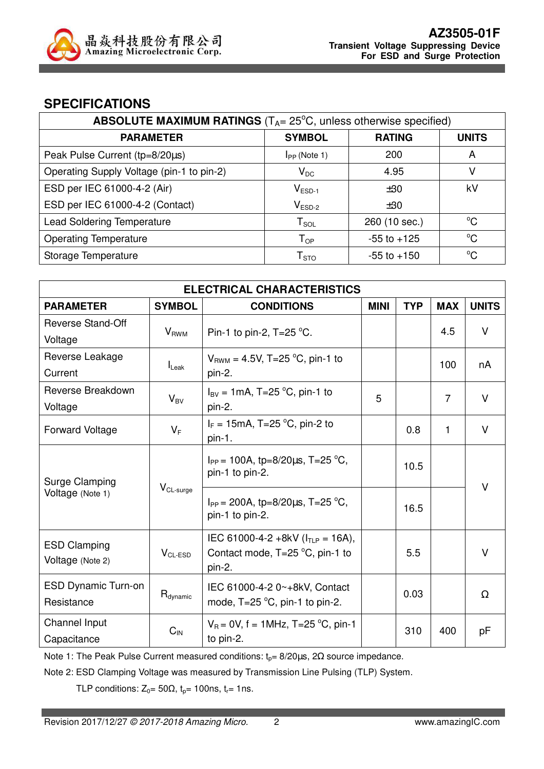

#### **SPECIFICATIONS**

| <b>ABSOLUTE MAXIMUM RATINGS</b> ( $T_A = 25^{\circ}$ C, unless otherwise specified) |                     |                 |              |  |  |
|-------------------------------------------------------------------------------------|---------------------|-----------------|--------------|--|--|
| <b>PARAMETER</b>                                                                    | <b>SYMBOL</b>       | <b>RATING</b>   | <b>UNITS</b> |  |  |
| Peak Pulse Current (tp=8/20µs)                                                      | $I_{PP}$ (Note 1)   | 200             | A            |  |  |
| Operating Supply Voltage (pin-1 to pin-2)                                           | $V_{DC}$            | 4.95            |              |  |  |
| ESD per IEC 61000-4-2 (Air)                                                         | $V_{ESD-1}$         | $\pm 30$        | kV           |  |  |
| ESD per IEC 61000-4-2 (Contact)                                                     | $V_{ESD-2}$         | $\pm 30$        |              |  |  |
| <b>Lead Soldering Temperature</b>                                                   | ${\sf T}_{\sf SOL}$ | 260 (10 sec.)   | $^{\circ}C$  |  |  |
| <b>Operating Temperature</b>                                                        | $T_{OP}$            | $-55$ to $+125$ | °C           |  |  |
| Storage Temperature                                                                 | ${\sf T}_{\sf STO}$ | $-55$ to $+150$ | $^{\circ}C$  |  |  |

| <b>ELECTRICAL CHARACTERISTICS</b> |                         |                                                                           |             |            |                |              |
|-----------------------------------|-------------------------|---------------------------------------------------------------------------|-------------|------------|----------------|--------------|
| <b>PARAMETER</b>                  | <b>SYMBOL</b>           | <b>CONDITIONS</b>                                                         | <b>MINI</b> | <b>TYP</b> | <b>MAX</b>     | <b>UNITS</b> |
| Reverse Stand-Off                 |                         |                                                                           |             |            | 4.5            | V            |
| Voltage                           | <b>V</b> <sub>RWM</sub> | Pin-1 to pin-2, $T=25$ °C.                                                |             |            |                |              |
| Reverse Leakage                   |                         | $V_{BWM} = 4.5V$ , T=25 °C, pin-1 to                                      |             |            |                |              |
| Current                           | $I_{\text{Leak}}$       | pin-2.                                                                    |             |            | 100            | nA           |
| Reverse Breakdown                 |                         | $I_{BV}$ = 1mA, T=25 °C, pin-1 to                                         |             |            | $\overline{7}$ | V            |
| Voltage                           | $V_{BV}$                | pin-2.                                                                    | 5           |            |                |              |
| <b>Forward Voltage</b>            | $V_F$                   | $I_F = 15 \text{mA}, T = 25 \text{ °C}, \text{pin-2 to}$                  |             | 0.8        | $\mathbf{1}$   | V            |
|                                   |                         | $pin-1.$                                                                  |             |            |                |              |
| Surge Clamping                    |                         | $I_{PP}$ = 100A, tp=8/20 $\mu$ s, T=25 °C,                                |             | 10.5       |                |              |
|                                   |                         | pin-1 to pin-2.                                                           |             |            |                |              |
| Voltage (Note 1)                  | $V_{CL-surge}$          |                                                                           |             |            |                | V            |
|                                   |                         | $I_{PP}$ = 200A, tp=8/20 $\mu$ s, T=25 °C,<br>pin-1 to pin-2.             |             | 16.5       |                |              |
|                                   |                         |                                                                           |             |            |                |              |
| <b>ESD Clamping</b>               |                         | IEC 61000-4-2 +8kV ( $I_{TLP}$ = 16A),                                    |             |            |                | $\vee$       |
| Voltage (Note 2)                  | $V_{CL-ESD}$            | Contact mode, $T=25^{\circ}C$ , pin-1 to<br>pin-2.                        |             | 5.5        |                |              |
| <b>ESD Dynamic Turn-on</b>        |                         |                                                                           |             |            |                |              |
| Resistance                        | $R_{\text{dynamic}}$    | IEC 61000-4-2 0~+8kV, Contact<br>mode, $T=25 \degree C$ , pin-1 to pin-2. |             | 0.03       |                | Ω            |
|                                   |                         |                                                                           |             |            |                |              |
| Channel Input                     | $C_{IN}$                | $V_R = 0V$ , f = 1MHz, T=25 °C, pin-1                                     |             | 310        | 400            | pF           |
| Capacitance                       |                         | to pin-2.                                                                 |             |            |                |              |

Note 1: The Peak Pulse Current measured conditions:  $t_p = 8/20 \mu s$ , 2 $\Omega$  source impedance.

Note 2: ESD Clamping Voltage was measured by Transmission Line Pulsing (TLP) System.

TLP conditions:  $Z_0 = 50\Omega$ ,  $t_p = 100$ ns,  $t_r = 1$ ns.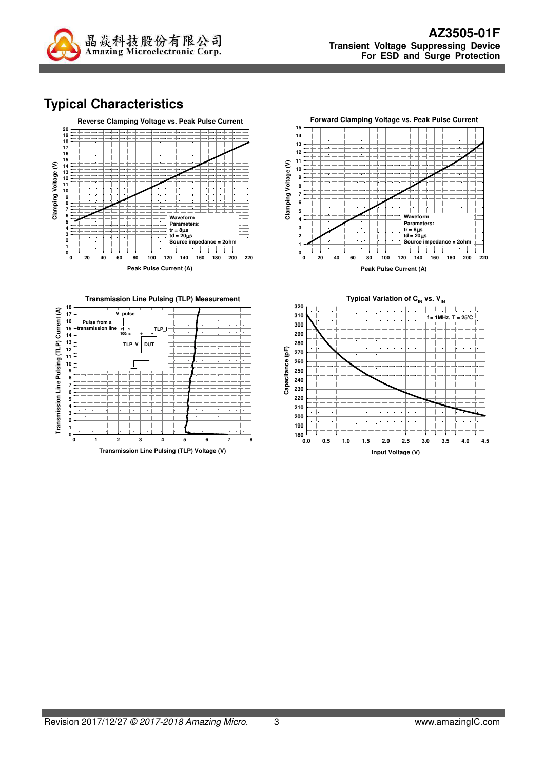

## **Typical Characteristics**





**Transmission Line Pulsing (TLP) Voltage (V)**



**Peak Pulse Current (A)**

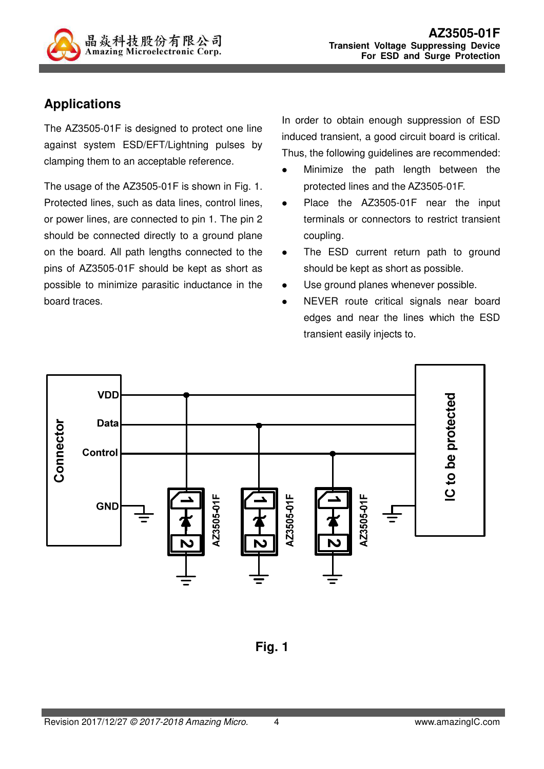

#### **Applications**

The AZ3505-01F is designed to protect one line against system ESD/EFT/Lightning pulses by clamping them to an acceptable reference.

The usage of the AZ3505-01F is shown in Fig. 1. Protected lines, such as data lines, control lines, or power lines, are connected to pin 1. The pin 2 should be connected directly to a ground plane on the board. All path lengths connected to the pins of AZ3505-01F should be kept as short as possible to minimize parasitic inductance in the board traces.

In order to obtain enough suppression of ESD induced transient, a good circuit board is critical. Thus, the following guidelines are recommended:

- Minimize the path length between the protected lines and the AZ3505-01F.
- Place the AZ3505-01F near the input terminals or connectors to restrict transient coupling.
- The ESD current return path to ground should be kept as short as possible.
- Use ground planes whenever possible.
- NEVER route critical signals near board edges and near the lines which the ESD transient easily injects to.



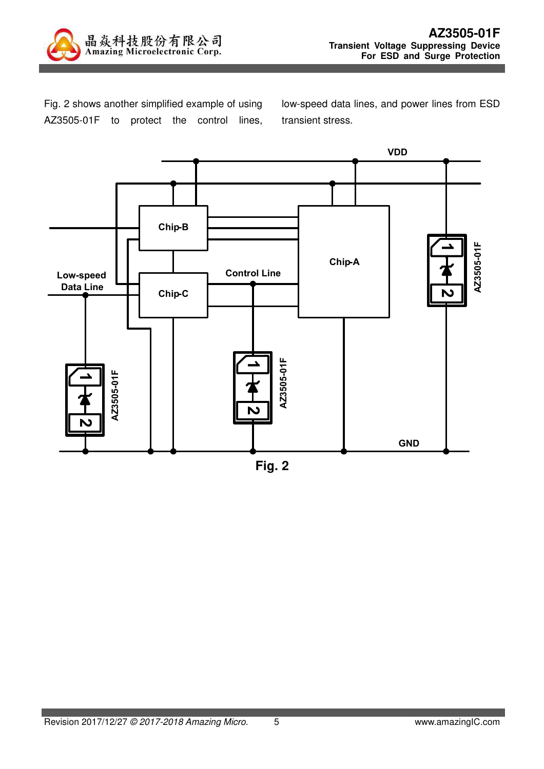

Fig. 2 shows another simplified example of using AZ3505-01F to protect the control lines, low-speed data lines, and power lines from ESD transient stress.



**Fig. 2**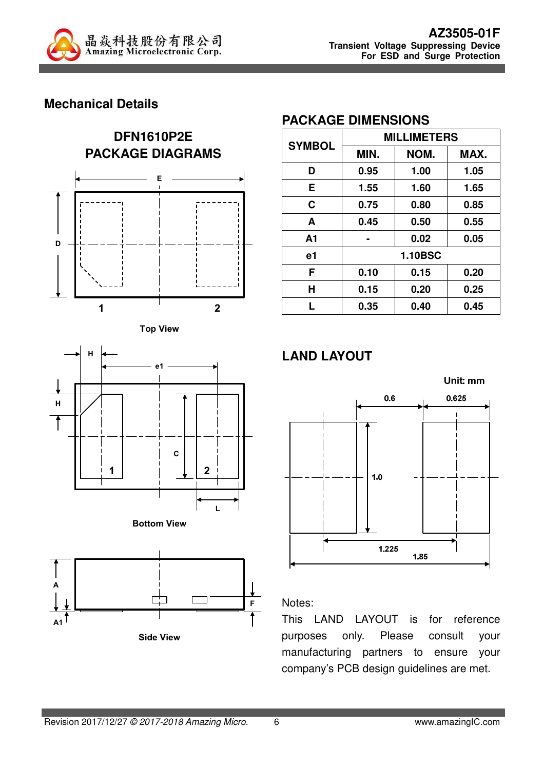

#### **Mechanical Details**









#### **PACKAGE DIMENSIONS**

| <b>SYMBOL</b>  | <b>MILLIMETERS</b> |      |      |  |
|----------------|--------------------|------|------|--|
|                | NOM.<br>MIN.       |      | MAX. |  |
| D              | 0.95               | 1.00 | 1.05 |  |
| E.             | 1.55               | 1.60 | 1.65 |  |
| C              | 0.75               | 0.80 | 0.85 |  |
| A              | 0.45               | 0.50 | 0.55 |  |
| A <sub>1</sub> |                    | 0.02 | 0.05 |  |
| e1             | <b>1.10BSC</b>     |      |      |  |
| F              | 0.10               | 0.15 | 0.20 |  |
| н              | 0.15               | 0.20 | 0.25 |  |
|                | 0.35               | 0.40 | 0.45 |  |

### **LAND LAYOUT**



#### Notes:

This LAND LAYOUT is for reference purposes only. Please consult your manufacturing partners to ensure your company's PCB design guidelines are met.